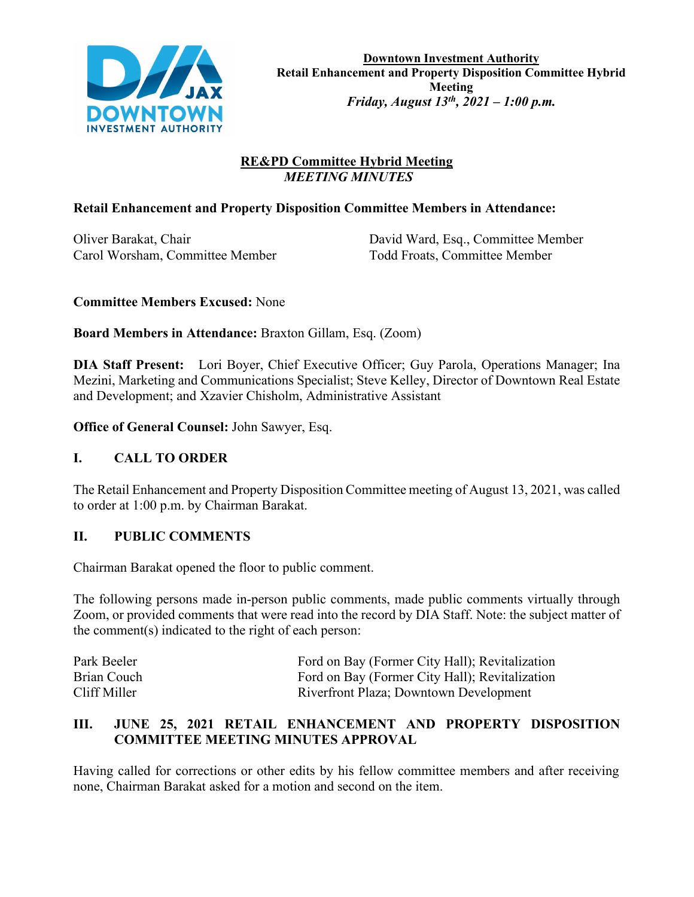

# **RE&PD Committee Hybrid Meeting**  *MEETING MINUTES*

## **Retail Enhancement and Property Disposition Committee Members in Attendance:**

Carol Worsham, Committee Member Todd Froats, Committee Member

Oliver Barakat, Chair David Ward, Esq., Committee Member

## **Committee Members Excused:** None

**Board Members in Attendance:** Braxton Gillam, Esq. (Zoom)

**DIA Staff Present:** Lori Boyer, Chief Executive Officer; Guy Parola, Operations Manager; Ina Mezini, Marketing and Communications Specialist; Steve Kelley, Director of Downtown Real Estate and Development; and Xzavier Chisholm, Administrative Assistant

**Office of General Counsel:** John Sawyer, Esq.

# **I. CALL TO ORDER**

The Retail Enhancement and Property Disposition Committee meeting of August 13, 2021, was called to order at 1:00 p.m. by Chairman Barakat.

# **II. PUBLIC COMMENTS**

Chairman Barakat opened the floor to public comment.

The following persons made in-person public comments, made public comments virtually through Zoom, or provided comments that were read into the record by DIA Staff. Note: the subject matter of the comment(s) indicated to the right of each person:

| Park Beeler  | Ford on Bay (Former City Hall); Revitalization |
|--------------|------------------------------------------------|
| Brian Couch  | Ford on Bay (Former City Hall); Revitalization |
| Cliff Miller | Riverfront Plaza; Downtown Development         |

## **III. JUNE 25, 2021 RETAIL ENHANCEMENT AND PROPERTY DISPOSITION COMMITTEE MEETING MINUTES APPROVAL**

Having called for corrections or other edits by his fellow committee members and after receiving none, Chairman Barakat asked for a motion and second on the item.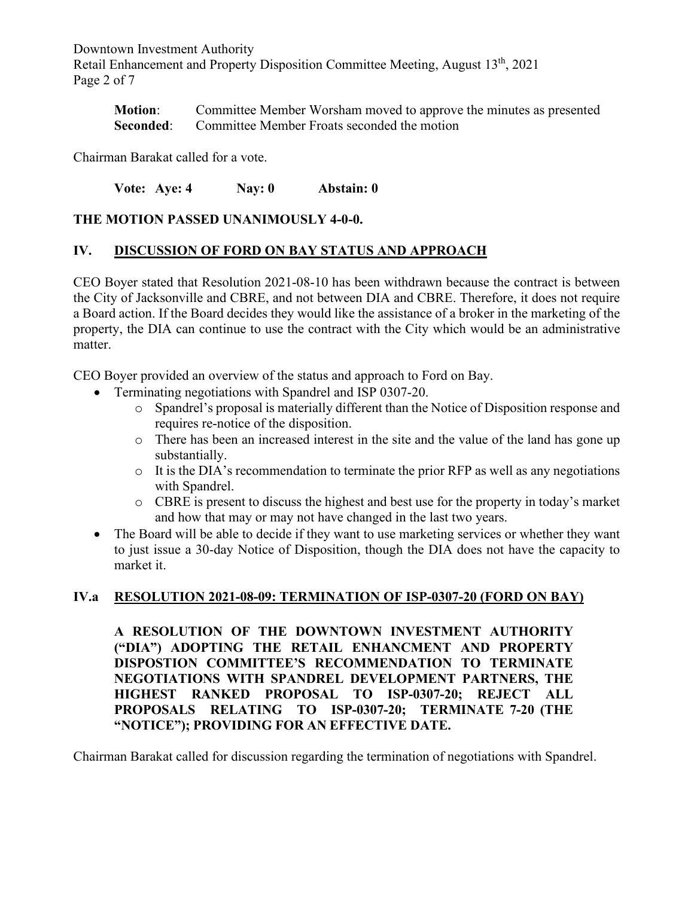Downtown Investment Authority Retail Enhancement and Property Disposition Committee Meeting, August 13<sup>th</sup>, 2021 Page 2 of 7

**Motion**: Committee Member Worsham moved to approve the minutes as presented **Seconded:** Committee Member Froats seconded the motion

Chairman Barakat called for a vote.

**Vote: Aye: 4 Nay: 0 Abstain: 0**

### **THE MOTION PASSED UNANIMOUSLY 4-0-0.**

### **IV. DISCUSSION OF FORD ON BAY STATUS AND APPROACH**

CEO Boyer stated that Resolution 2021-08-10 has been withdrawn because the contract is between the City of Jacksonville and CBRE, and not between DIA and CBRE. Therefore, it does not require a Board action. If the Board decides they would like the assistance of a broker in the marketing of the property, the DIA can continue to use the contract with the City which would be an administrative matter.

CEO Boyer provided an overview of the status and approach to Ford on Bay.

- Terminating negotiations with Spandrel and ISP 0307-20.
	- o Spandrel's proposal is materially different than the Notice of Disposition response and requires re-notice of the disposition.
	- o There has been an increased interest in the site and the value of the land has gone up substantially.
	- $\circ$  It is the DIA's recommendation to terminate the prior RFP as well as any negotiations with Spandrel.
	- o CBRE is present to discuss the highest and best use for the property in today's market and how that may or may not have changed in the last two years.
- The Board will be able to decide if they want to use marketing services or whether they want to just issue a 30-day Notice of Disposition, though the DIA does not have the capacity to market it.

#### **IV.a RESOLUTION 2021-08-09: TERMINATION OF ISP-0307-20 (FORD ON BAY)**

**A RESOLUTION OF THE DOWNTOWN INVESTMENT AUTHORITY ("DIA") ADOPTING THE RETAIL ENHANCMENT AND PROPERTY DISPOSTION COMMITTEE'S RECOMMENDATION TO TERMINATE NEGOTIATIONS WITH SPANDREL DEVELOPMENT PARTNERS, THE HIGHEST RANKED PROPOSAL TO ISP-0307-20; REJECT ALL PROPOSALS RELATING TO ISP-0307-20; TERMINATE 7-20 (THE "NOTICE"); PROVIDING FOR AN EFFECTIVE DATE.**

Chairman Barakat called for discussion regarding the termination of negotiations with Spandrel.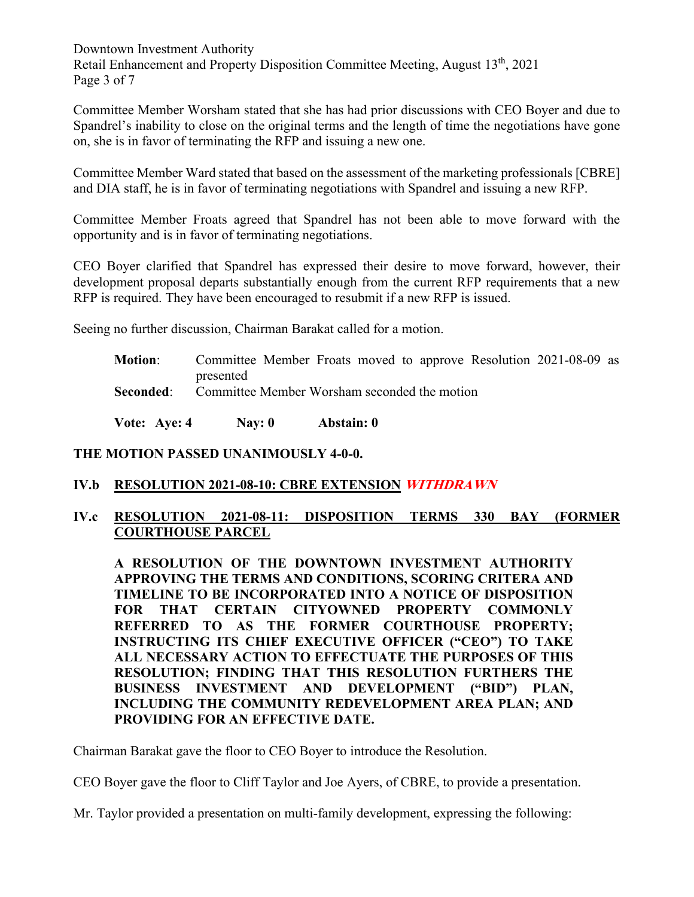Downtown Investment Authority Retail Enhancement and Property Disposition Committee Meeting, August 13<sup>th</sup>, 2021 Page 3 of 7

Committee Member Worsham stated that she has had prior discussions with CEO Boyer and due to Spandrel's inability to close on the original terms and the length of time the negotiations have gone on, she is in favor of terminating the RFP and issuing a new one.

Committee Member Ward stated that based on the assessment of the marketing professionals [CBRE] and DIA staff, he is in favor of terminating negotiations with Spandrel and issuing a new RFP.

Committee Member Froats agreed that Spandrel has not been able to move forward with the opportunity and is in favor of terminating negotiations.

CEO Boyer clarified that Spandrel has expressed their desire to move forward, however, their development proposal departs substantially enough from the current RFP requirements that a new RFP is required. They have been encouraged to resubmit if a new RFP is issued.

Seeing no further discussion, Chairman Barakat called for a motion.

**Motion**: Committee Member Froats moved to approve Resolution 2021-08-09 as presented

**Seconded:** Committee Member Worsham seconded the motion

**Vote: Aye: 4 Nay: 0 Abstain: 0**

#### **THE MOTION PASSED UNANIMOUSLY 4-0-0.**

#### **IV.b RESOLUTION 2021-08-10: CBRE EXTENSION WITHDRAWN**

## **IV.c RESOLUTION 2021-08-11: DISPOSITION TERMS 330 BAY (FORMER COURTHOUSE PARCEL**

**A RESOLUTION OF THE DOWNTOWN INVESTMENT AUTHORITY APPROVING THE TERMS AND CONDITIONS, SCORING CRITERA AND TIMELINE TO BE INCORPORATED INTO A NOTICE OF DISPOSITION FOR THAT CERTAIN CITYOWNED PROPERTY COMMONLY REFERRED TO AS THE FORMER COURTHOUSE PROPERTY; INSTRUCTING ITS CHIEF EXECUTIVE OFFICER ("CEO") TO TAKE ALL NECESSARY ACTION TO EFFECTUATE THE PURPOSES OF THIS RESOLUTION; FINDING THAT THIS RESOLUTION FURTHERS THE BUSINESS INVESTMENT AND DEVELOPMENT ("BID") PLAN, INCLUDING THE COMMUNITY REDEVELOPMENT AREA PLAN; AND PROVIDING FOR AN EFFECTIVE DATE.**

Chairman Barakat gave the floor to CEO Boyer to introduce the Resolution.

CEO Boyer gave the floor to Cliff Taylor and Joe Ayers, of CBRE, to provide a presentation.

Mr. Taylor provided a presentation on multi-family development, expressing the following: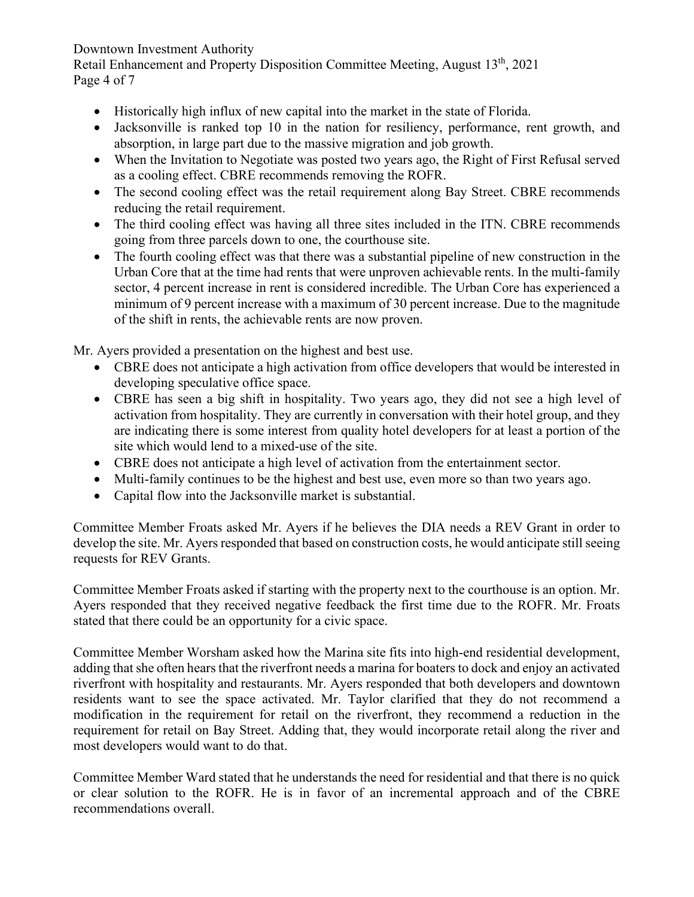## Downtown Investment Authority

Retail Enhancement and Property Disposition Committee Meeting, August 13<sup>th</sup>, 2021 Page 4 of 7

- Historically high influx of new capital into the market in the state of Florida.
- Jacksonville is ranked top 10 in the nation for resiliency, performance, rent growth, and absorption, in large part due to the massive migration and job growth.
- When the Invitation to Negotiate was posted two years ago, the Right of First Refusal served as a cooling effect. CBRE recommends removing the ROFR.
- The second cooling effect was the retail requirement along Bay Street. CBRE recommends reducing the retail requirement.
- The third cooling effect was having all three sites included in the ITN. CBRE recommends going from three parcels down to one, the courthouse site.
- The fourth cooling effect was that there was a substantial pipeline of new construction in the Urban Core that at the time had rents that were unproven achievable rents. In the multi-family sector, 4 percent increase in rent is considered incredible. The Urban Core has experienced a minimum of 9 percent increase with a maximum of 30 percent increase. Due to the magnitude of the shift in rents, the achievable rents are now proven.

Mr. Ayers provided a presentation on the highest and best use.

- CBRE does not anticipate a high activation from office developers that would be interested in developing speculative office space.
- CBRE has seen a big shift in hospitality. Two years ago, they did not see a high level of activation from hospitality. They are currently in conversation with their hotel group, and they are indicating there is some interest from quality hotel developers for at least a portion of the site which would lend to a mixed-use of the site.
- CBRE does not anticipate a high level of activation from the entertainment sector.
- Multi-family continues to be the highest and best use, even more so than two years ago.
- Capital flow into the Jacksonville market is substantial.

Committee Member Froats asked Mr. Ayers if he believes the DIA needs a REV Grant in order to develop the site. Mr. Ayers responded that based on construction costs, he would anticipate still seeing requests for REV Grants.

Committee Member Froats asked if starting with the property next to the courthouse is an option. Mr. Ayers responded that they received negative feedback the first time due to the ROFR. Mr. Froats stated that there could be an opportunity for a civic space.

Committee Member Worsham asked how the Marina site fits into high-end residential development, adding that she often hears that the riverfront needs a marina for boaters to dock and enjoy an activated riverfront with hospitality and restaurants. Mr. Ayers responded that both developers and downtown residents want to see the space activated. Mr. Taylor clarified that they do not recommend a modification in the requirement for retail on the riverfront, they recommend a reduction in the requirement for retail on Bay Street. Adding that, they would incorporate retail along the river and most developers would want to do that.

Committee Member Ward stated that he understands the need for residential and that there is no quick or clear solution to the ROFR. He is in favor of an incremental approach and of the CBRE recommendations overall.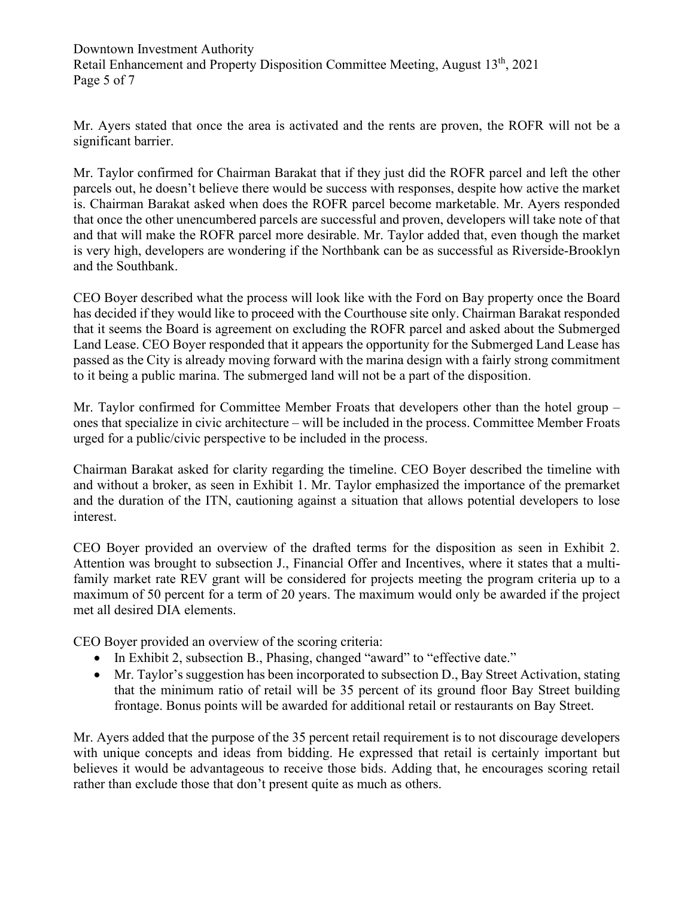Mr. Ayers stated that once the area is activated and the rents are proven, the ROFR will not be a significant barrier.

Mr. Taylor confirmed for Chairman Barakat that if they just did the ROFR parcel and left the other parcels out, he doesn't believe there would be success with responses, despite how active the market is. Chairman Barakat asked when does the ROFR parcel become marketable. Mr. Ayers responded that once the other unencumbered parcels are successful and proven, developers will take note of that and that will make the ROFR parcel more desirable. Mr. Taylor added that, even though the market is very high, developers are wondering if the Northbank can be as successful as Riverside-Brooklyn and the Southbank.

CEO Boyer described what the process will look like with the Ford on Bay property once the Board has decided if they would like to proceed with the Courthouse site only. Chairman Barakat responded that it seems the Board is agreement on excluding the ROFR parcel and asked about the Submerged Land Lease. CEO Boyer responded that it appears the opportunity for the Submerged Land Lease has passed as the City is already moving forward with the marina design with a fairly strong commitment to it being a public marina. The submerged land will not be a part of the disposition.

Mr. Taylor confirmed for Committee Member Froats that developers other than the hotel group – ones that specialize in civic architecture – will be included in the process. Committee Member Froats urged for a public/civic perspective to be included in the process.

Chairman Barakat asked for clarity regarding the timeline. CEO Boyer described the timeline with and without a broker, as seen in Exhibit 1. Mr. Taylor emphasized the importance of the premarket and the duration of the ITN, cautioning against a situation that allows potential developers to lose interest.

CEO Boyer provided an overview of the drafted terms for the disposition as seen in Exhibit 2. Attention was brought to subsection J., Financial Offer and Incentives, where it states that a multifamily market rate REV grant will be considered for projects meeting the program criteria up to a maximum of 50 percent for a term of 20 years. The maximum would only be awarded if the project met all desired DIA elements.

CEO Boyer provided an overview of the scoring criteria:

- In Exhibit 2, subsection B., Phasing, changed "award" to "effective date."
- Mr. Taylor's suggestion has been incorporated to subsection D., Bay Street Activation, stating that the minimum ratio of retail will be 35 percent of its ground floor Bay Street building frontage. Bonus points will be awarded for additional retail or restaurants on Bay Street.

Mr. Ayers added that the purpose of the 35 percent retail requirement is to not discourage developers with unique concepts and ideas from bidding. He expressed that retail is certainly important but believes it would be advantageous to receive those bids. Adding that, he encourages scoring retail rather than exclude those that don't present quite as much as others.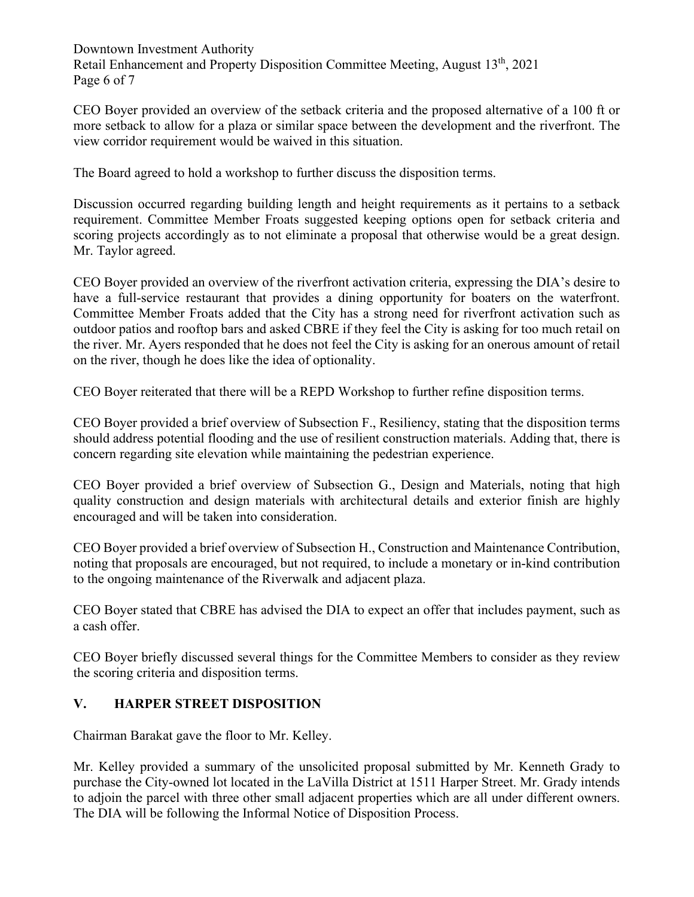Downtown Investment Authority Retail Enhancement and Property Disposition Committee Meeting, August 13<sup>th</sup>, 2021 Page 6 of 7

CEO Boyer provided an overview of the setback criteria and the proposed alternative of a 100 ft or more setback to allow for a plaza or similar space between the development and the riverfront. The view corridor requirement would be waived in this situation.

The Board agreed to hold a workshop to further discuss the disposition terms.

Discussion occurred regarding building length and height requirements as it pertains to a setback requirement. Committee Member Froats suggested keeping options open for setback criteria and scoring projects accordingly as to not eliminate a proposal that otherwise would be a great design. Mr. Taylor agreed.

CEO Boyer provided an overview of the riverfront activation criteria, expressing the DIA's desire to have a full-service restaurant that provides a dining opportunity for boaters on the waterfront. Committee Member Froats added that the City has a strong need for riverfront activation such as outdoor patios and rooftop bars and asked CBRE if they feel the City is asking for too much retail on the river. Mr. Ayers responded that he does not feel the City is asking for an onerous amount of retail on the river, though he does like the idea of optionality.

CEO Boyer reiterated that there will be a REPD Workshop to further refine disposition terms.

CEO Boyer provided a brief overview of Subsection F., Resiliency, stating that the disposition terms should address potential flooding and the use of resilient construction materials. Adding that, there is concern regarding site elevation while maintaining the pedestrian experience.

CEO Boyer provided a brief overview of Subsection G., Design and Materials, noting that high quality construction and design materials with architectural details and exterior finish are highly encouraged and will be taken into consideration.

CEO Boyer provided a brief overview of Subsection H., Construction and Maintenance Contribution, noting that proposals are encouraged, but not required, to include a monetary or in-kind contribution to the ongoing maintenance of the Riverwalk and adjacent plaza.

CEO Boyer stated that CBRE has advised the DIA to expect an offer that includes payment, such as a cash offer.

CEO Boyer briefly discussed several things for the Committee Members to consider as they review the scoring criteria and disposition terms.

# **V. HARPER STREET DISPOSITION**

Chairman Barakat gave the floor to Mr. Kelley.

Mr. Kelley provided a summary of the unsolicited proposal submitted by Mr. Kenneth Grady to purchase the City-owned lot located in the LaVilla District at 1511 Harper Street. Mr. Grady intends to adjoin the parcel with three other small adjacent properties which are all under different owners. The DIA will be following the Informal Notice of Disposition Process.